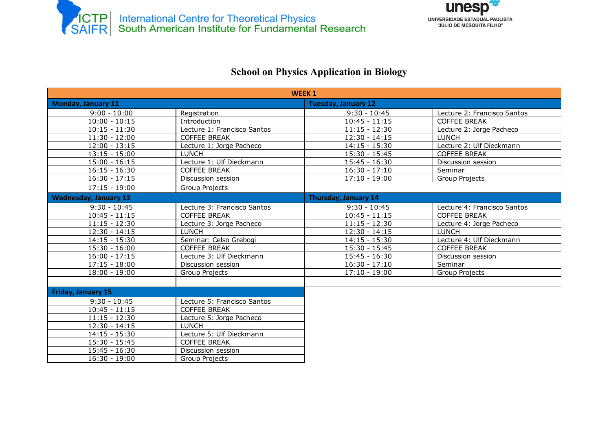



## School on Physics Application in Biology

| <b>WEEK1</b>                 |                             |                             |                             |  |  |
|------------------------------|-----------------------------|-----------------------------|-----------------------------|--|--|
| <b>Monday, January 11</b>    |                             | <b>Tuesday, January 12</b>  |                             |  |  |
| $9:00 - 10:00$               | Registration                | $9:30 - 10:45$              | Lecture 2: Francisco Santos |  |  |
| $10:00 - 10:15$              | Introduction                | $10:45 - 11:15$             | COFFEE BREAK                |  |  |
| $10:15 - 11:30$              | Lecture 1: Francisco Santos | $11:15 - 12:30$             | Lecture 2: Jorge Pacheco    |  |  |
| $11:30 - 12:00$              | <b>COFFEE BREAK</b>         | $12:30 - 14:15$             | <b>LUNCH</b>                |  |  |
| $12:00 - 13:15$              | Lecture 1: Jorge Pacheco    | $14:15 - 15:30$             | Lecture 2: Ulf Dieckmann    |  |  |
| $13:15 - 15:00$              | <b>LUNCH</b>                | $15:30 - 15:45$             | <b>COFFEE BREAK</b>         |  |  |
| $15:00 - 16:15$              | Lecture 1: Ulf Dieckmann    | $15:45 - 16:30$             | Discussion session          |  |  |
| $16:15 - 16:30$              | <b>COFFEE BREAK</b>         | $16:30 - 17:10$             | Seminar                     |  |  |
| $16:30 - 17:15$              | Discussion session          | $17:10 - 19:00$             | Group Projects              |  |  |
| $17:15 - 19:00$              | <b>Group Projects</b>       |                             |                             |  |  |
| <b>Wednesday, January 13</b> |                             | <b>Thursday, January 14</b> |                             |  |  |
| $9:30 - 10:45$               | Lecture 3: Francisco Santos | $9:30 - 10:45$              | Lecture 4: Francisco Santos |  |  |
| $10:45 - 11:15$              | <b>COFFEE BREAK</b>         | $10:45 - 11:15$             | <b>COFFEE BREAK</b>         |  |  |
| $11:15 - 12:30$              | Lecture 3: Jorge Pacheco    | $11:15 - 12:30$             | Lecture 4: Jorge Pacheco    |  |  |
| $12:30 - 14:15$              | <b>LUNCH</b>                | $12:30 - 14:15$             | <b>LUNCH</b>                |  |  |
| $14:15 - 15:30$              | Seminar: Celso Grebogi      | $14:15 - 15:30$             | Lecture 4: Ulf Dieckmann    |  |  |
| $15:30 - 16:00$              | <b>COFFEE BREAK</b>         | $15:30 - 15:45$             | <b>COFFEE BREAK</b>         |  |  |
| $16:00 - 17:15$              | Lecture 3: Ulf Dieckmann    | $15:45 - 16:30$             | Discussion session          |  |  |
| $17:15 - 18:00$              | Discussion session          | $16:30 - 17:10$             | Seminar                     |  |  |
| $18:00 - 19:00$              | Group Projects              | $17:10 - 19:00$             | Group Projects              |  |  |
|                              |                             |                             |                             |  |  |
| Friday, January 15           |                             |                             |                             |  |  |
| $9:30 - 10:45$               | Lecture 5: Francisco Santos |                             |                             |  |  |
| $10:45 - 11:15$              | <b>COFFEE BREAK</b>         |                             |                             |  |  |
| $11:15 - 12:30$              | Lecture 5: Jorge Pacheco    |                             |                             |  |  |
| $\overline{12}$ :30 - 14:15  | <b>LUNCH</b>                |                             |                             |  |  |
| $14:15 - 15:30$              | Lecture 5: Ulf Dieckmann    |                             |                             |  |  |
| 15:30 - 15:45                | <b>COFFEE BREAK</b>         |                             |                             |  |  |
| $15:45 - 16:30$              | Discussion session          |                             |                             |  |  |
| $16:30 - 19:00$              | Group Projects              |                             |                             |  |  |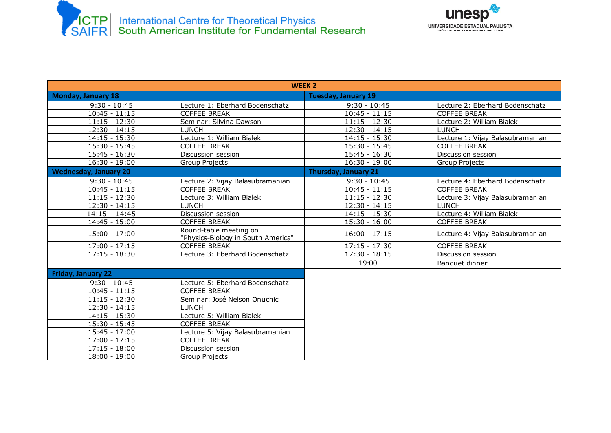



| <b>WEEK 2</b>                |                                                              |                             |                                  |  |  |
|------------------------------|--------------------------------------------------------------|-----------------------------|----------------------------------|--|--|
| <b>Monday, January 18</b>    |                                                              | <b>Tuesday, January 19</b>  |                                  |  |  |
| $9:30 - 10:45$               | Lecture 1: Eberhard Bodenschatz                              | $9:30 - 10:45$              | Lecture 2: Eberhard Bodenschatz  |  |  |
| $10:45 - 11:15$              | COFFEE BREAK                                                 | $10:45 - 11:15$             | <b>COFFEE BREAK</b>              |  |  |
| $11:15 - 12:30$              | Seminar: Silvina Dawson                                      | $11:15 - 12:30$             | Lecture 2: William Bialek        |  |  |
| $12:30 - 14:15$              | <b>LUNCH</b>                                                 | $12:30 - 14:15$             | <b>LUNCH</b>                     |  |  |
| $14:15 - 15:30$              | Lecture 1: William Bialek                                    | $14:15 - 15:30$             | Lecture 1: Vijay Balasubramanian |  |  |
| $15:30 - 15:45$              | COFFEE BREAK                                                 | $15:30 - 15:45$             | COFFEE BREAK                     |  |  |
| $15:45 - 16:30$              | Discussion session                                           | $15:45 - 16:30$             | Discussion session               |  |  |
| $16:30 - 19:00$              | Group Projects                                               | $16:30 - 19:00$             | Group Projects                   |  |  |
| <b>Wednesday, January 20</b> |                                                              | <b>Thursday, January 21</b> |                                  |  |  |
| $9:30 - 10:45$               | Lecture 2: Vijay Balasubramanian                             | $9:30 - 10:45$              | Lecture 4: Eberhard Bodenschatz  |  |  |
| $10:45 - 11:15$              | <b>COFFEE BREAK</b>                                          | $10:45 - 11:15$             | <b>COFFEE BREAK</b>              |  |  |
| $11:15 - 12:30$              | Lecture 3: William Bialek                                    | $11:15 - 12:30$             | Lecture 3: Vijay Balasubramanian |  |  |
| $12:30 - 14:15$              | <b>LUNCH</b>                                                 | $12:30 - 14:15$             | LUNCH                            |  |  |
| $14:15 - 14:45$              | Discussion session                                           | $14:15 - 15:30$             | Lecture 4: William Bialek        |  |  |
| $14:45 - 15:00$              | COFFEE BREAK                                                 | $15:30 - 16:00$             | <b>COFFEE BREAK</b>              |  |  |
| $15:00 - 17:00$              | Round-table meeting on<br>"Physics-Biology in South America" | $16:00 - 17:15$             | Lecture 4: Vijay Balasubramanian |  |  |
| $17:00 - 17:15$              | <b>COFFEE BREAK</b>                                          | $17:15 - 17:30$             | <b>COFFEE BREAK</b>              |  |  |
| $17:15 - 18:30$              | Lecture 3: Eberhard Bodenschatz                              | $17:30 - 18:15$             | Discussion session               |  |  |
|                              |                                                              | 19:00                       | Banquet dinner                   |  |  |
| <b>Friday, January 22</b>    |                                                              |                             |                                  |  |  |
| $9:30 - 10:45$               | Lecture 5: Eberhard Bodenschatz                              |                             |                                  |  |  |
| $10:45 - 11:15$              | <b>COFFEE BREAK</b>                                          |                             |                                  |  |  |
| $11:15 - 12:30$              | Seminar: José Nelson Onuchic                                 |                             |                                  |  |  |
| $12:30 - 14:15$              | <b>LUNCH</b>                                                 |                             |                                  |  |  |
| $14:15 - 15:30$              | Lecture 5: William Bialek                                    |                             |                                  |  |  |
| $15:30 - 15:45$              | <b>COFFEE BREAK</b>                                          |                             |                                  |  |  |
| $15:45 - 17:00$              | Lecture 5: Vijay Balasubramanian                             |                             |                                  |  |  |
| $17:00 - 17:15$              | <b>COFFEE BREAK</b>                                          |                             |                                  |  |  |
| $17:15 - 18:00$              | Discussion session                                           |                             |                                  |  |  |
| $18:00 - 19:00$              | Group Projects                                               |                             |                                  |  |  |